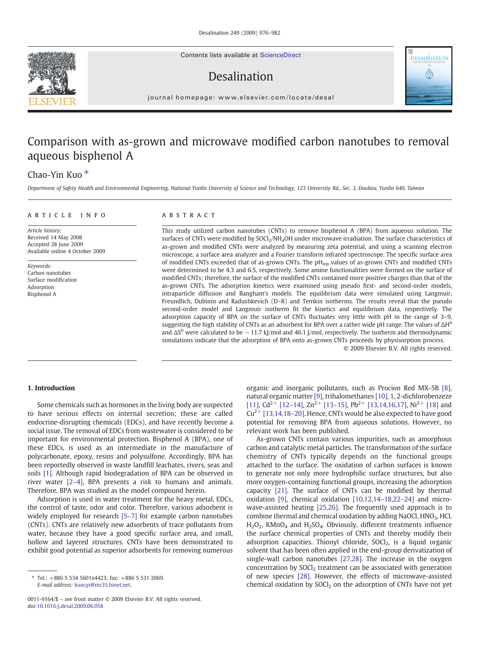Contents lists available at [ScienceDirect](http://www.sciencedirect.com/science/journal/00119164)

# Desalination



journal homepage: www.elsevier.com/locate/desal

## Comparison with as-grown and microwave modified carbon nanotubes to removal aqueous bisphenol A

## Chao-Yin Kuo<sup>\*</sup>

Department of Safety Health and Environmental Engineering, National Yunlin University of Science and Technology, 123 University Rd., Sec. 3, Douliou, Yunlin 640, Taiwan

### article info abstract

Article history: Received 14 May 2008 Accepted 28 June 2009 Available online 4 October 2009

Keywords: Carbon nanotubes Surface modification Adsorption Bisphenol A

This study utilized carbon nanotubes (CNTs) to remove bisphenol A (BPA) from aqueous solution. The surfaces of CNTs were modified by SOCl<sub>2</sub>/NH<sub>4</sub>OH under microwave irradiation. The surface characteristics of as-grown and modified CNTs were analyzed by measuring zeta potential, and using a scanning electron microscope, a surface area analyzer and a Fourier transform infrared spectroscope. The specific surface area of modified CNTs exceeded that of as-grown CNTs. The pH<sub>iep</sub> values of as-grown CNTs and modified CNTs were determined to be 4.3 and 6.5, respectively. Some amine functionalities were formed on the surface of modified CNTs; therefore, the surface of the modified CNTs contained more positive charges than that of the as-grown CNTs. The adsorption kinetics were examined using pseudo first- and second-order models, intraparticle diffusion and Bangham's models. The equilibrium data were simulated using Langmuir, Freundlich, Dubinin and Radushkevich (D–R) and Temkin isotherms. The results reveal that the pseudo second-order model and Langmuir isotherm fit the kinetics and equilibrium data, respectively. The adsorption capacity of BPA on the surface of CNTs fluctuates very little with pH in the range of 3–9, suggesting the high stability of CNTs as an adsorbent for BPA over a rather wide pH range. The values of  $\Delta H^0$ and  $\Delta S^0$  were calculated to be  $-11.7$  kJ/mol and 46.1 J/mol, respectively. The isotherm and thermodynamic simulations indicate that the adsorption of BPA onto as-grown CNTs proceeds by physisorption process.

© 2009 Elsevier B.V. All rights reserved.

### 1. Introduction

Some chemicals such as hormones in the living body are suspected to have serious effects on internal secretion; these are called endocrine-disrupting chemicals (EDCs), and have recently become a social issue. The removal of EDCs from wastewater is considered to be important for environmental protection. Bisphenol A (BPA), one of these EDCs, is used as an intermediate in the manufacture of polycarbonate, epoxy, resins and polysulfone. Accordingly, BPA has been reportedly observed in waste landfill leachates, rivers, seas and soils [\[1\]](#page-6-0). Although rapid biodegradation of BPA can be observed in river water [2–[4\]](#page-6-0), BPA presents a risk to humans and animals. Therefore, BPA was studied as the model compound herein.

Adsorption is used in water treatment for the heavy metal, EDCs, the control of taste, odor and color. Therefore, various adsorbent is widely employed for research [\[5](#page-6-0)-7] for example carbon nanotubes (CNTs). CNTs are relatively new adsorbents of trace pollutants from water, because they have a good specific surface area, and small, hollow and layered structures. CNTs have been demonstrated to exhibit good potential as superior adsorbents for removing numerous

organic and inorganic pollutants, such as Procion Red MX-5B [\[8\],](#page-6-0) natural organic matter [\[9\]](#page-6-0), trihalomethanes [\[10\],](#page-6-0) 1, 2-dichlorobenzeze [\[11\]](#page-6-0), Cd<sup>2+</sup> [12–[14\],](#page-6-0) Zn<sup>2+</sup> [13–[15\],](#page-6-0) Pb<sup>2+</sup> [\[13,14,16,17\]](#page-6-0), Ni<sup>2+</sup> [\[18\]](#page-6-0) and  $Cu<sup>2+</sup>$  [\[13,14,18](#page-6-0)-20]. Hence, CNTs would be also expected to have good potential for removing BPA from aqueous solutions. However, no relevant work has been published.

As-grown CNTs contain various impurities, such as amorphous carbon and catalytic metal particles. The transformation of the surface chemistry of CNTs typically depends on the functional groups attached to the surface. The oxidation of carbon surfaces is known to generate not only more hydrophilic surface structures, but also more oxygen-containing functional groups, increasing the adsorption capacity [\[21\]](#page-6-0). The surface of CNTs can be modified by thermal oxidation [\[9\],](#page-6-0) chemical oxidation [\[10,12,14](#page-6-0)–18,22–24] and microwave-assisted heating [\[25,26\]](#page-6-0). The frequently used approach is to combine thermal and chemical oxidation by adding NaOCl, HNO<sub>3</sub>, HCl, H<sub>2</sub>O<sub>2</sub>, KMnO<sub>4</sub> and H<sub>2</sub>SO<sub>4</sub>. Obviously, different treatments influence the surface chemical properties of CNTs and thereby modify their adsorption capacities. Thionyl chloride,  $S OCl<sub>2</sub>$ , is a liquid organic solvent that has been often applied in the end-group derivatization of single-wall carbon nanotubes [\[27,28\]](#page-6-0). The increase in the oxygen concentration by  $S OCl<sub>2</sub>$  treatment can be associated with generation of new species [\[28\].](#page-6-0) However, the effects of microwave-assisted chemical oxidation by  $S OCl<sub>2</sub>$  on the adsorption of CNTs have not yet

<sup>⁎</sup> Tel.: +886 5 534 5601x4423; fax: +886 5 531 2069. E-mail address: [kuocyr@ms35.hinet.net.](mailto:kuocyr@ms35.hinet.net)

<sup>0011-9164/\$</sup> – see front matter © 2009 Elsevier B.V. All rights reserved. doi[:10.1016/j.desal.2009.06.058](http://dx.doi.org/10.1016/j.desal.2009.06.058)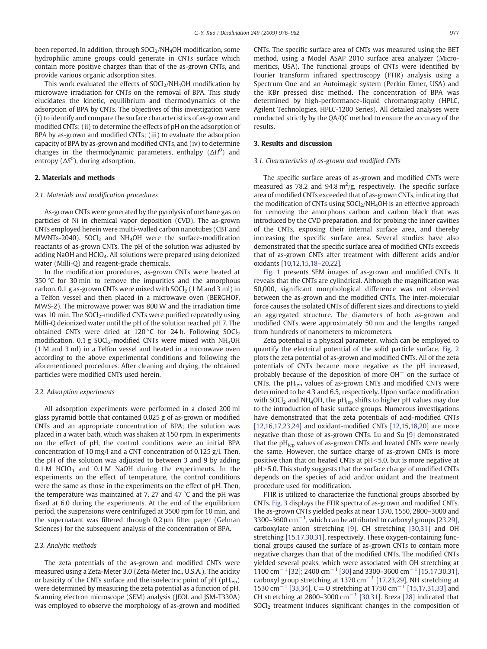been reported. In addition, through SOCl<sub>2</sub>/NH<sub>4</sub>OH modification, some hydrophilic amine groups could generate in CNTs surface which contain more positive charges than that of the as-grown CNTs, and provide various organic adsorption sites.

This work evaluated the effects of  $S OCl<sub>2</sub>/NH<sub>4</sub>OH$  modification by microwave irradiation for CNTs on the removal of BPA. This study elucidates the kinetic, equilibrium and thermodynamics of the adsorption of BPA by CNTs. The objectives of this investigation were (i) to identify and compare the surface characteristics of as-grown and modified CNTs; (ii) to determine the effects of pH on the adsorption of BPA by as-grown and modified CNTs; (iii) to evaluate the adsorption capacity of BPA by as-grown and modified CNTs, and (iv) to determine changes in the thermodynamic parameters, enthalpy  $(\Delta H^0)$  and entropy ( $\Delta S^0$ ), during adsorption.

#### 2. Materials and methods

#### 2.1. Materials and modification procedures

As-grown CNTs were generated by the pyrolysis of methane gas on particles of Ni in chemical vapor deposition (CVD). The as-grown CNTs employed herein were multi-walled carbon nanotubes (CBT and MWNTs-2040). SOCl<sub>2</sub> and NH<sub>4</sub>OH were the surface-modification reactants of as-grown CNTs. The pH of the solution was adjusted by adding NaOH and HClO4. All solutions were prepared using deionized water (Milli-Q) and reagent-grade chemicals.

In the modification procedures, as-grown CNTs were heated at 350 °C for 30 min to remove the impurities and the amorphous carbon. 0.1 g as-grown CNTs were mixed with  $S OCl<sub>2</sub>$  (1 M and 3 ml) in a Telfon vessel and then placed in a microwave oven (BERGHOF, MWS-2). The microwave power was 800 W and the irradiation time was 10 min. The  $SOCl<sub>2</sub>$ -modified CNTs were purified repeatedly using Milli-Q deionized water until the pH of the solution reached pH 7. The obtained CNTs were dried at 120 °C for 24 h. Following  $SOCl<sub>2</sub>$ modification,  $0.1$  g SOCl<sub>2</sub>-modified CNTs were mixed with NH<sub>4</sub>OH (1 M and 3 ml) in a Telfon vessel and heated in a microwave oven according to the above experimental conditions and following the aforementioned procedures. After cleaning and drying, the obtained particles were modified CNTs used herein.

#### 2.2. Adsorption experiments

All adsorption experiments were performed in a closed 200 ml glass pyramid bottle that contained 0.025 g of as-grown or modified CNTs and an appropriate concentration of BPA; the solution was placed in a water bath, which was shaken at 150 rpm. In experiments on the effect of pH, the control conditions were an initial BPA concentration of 10 mg/l and a CNT concentration of 0.125 g/l. Then, the pH of the solution was adjusted to between 3 and 9 by adding 0.1 M HClO<sub>4</sub> and 0.1 M NaOH during the experiments. In the experiments on the effect of temperature, the control conditions were the same as those in the experiments on the effect of pH. Then, the temperature was maintained at 7, 27 and 47 °C and the pH was fixed at 6.0 during the experiments. At the end of the equilibrium period, the suspensions were centrifuged at 3500 rpm for 10 min, and the supernatant was filtered through 0.2 μm filter paper (Gelman Sciences) for the subsequent analysis of the concentration of BPA.

#### 2.3. Analytic methods

The zeta potentials of the as-grown and modified CNTs were measured using a Zeta-Meter 3.0 (Zeta-Meter Inc., U.S.A.). The acidity or basicity of the CNTs surface and the isoelectric point of pH (pH<sub>iep</sub>) were determined by measuring the zeta potential as a function of pH. Scanning electron microscope (SEM) analysis (JEOL and JSM-T330A) was employed to observe the morphology of as-grown and modified CNTs. The specific surface area of CNTs was measured using the BET method, using a Model ASAP 2010 surface area analyzer (Micromeritics, USA). The functional groups of CNTs were identified by Fourier transform infrared spectroscopy (FTIR) analysis using a Spectrum One and an Autoimagic system (Perkin Elmer, USA) and the KBr pressed disc method. The concentration of BPA was determined by high-performance-liquid chromatography (HPLC, Agilent Technologies, HPLC-1200 Series). All detailed analyses were conducted strictly by the QA/QC method to ensure the accuracy of the results.

#### 3. Results and discussion

#### 3.1. Characteristics of as-grown and modified CNTs

The specific surface areas of as-grown and modified CNTs were measured as 78.2 and  $94.8 \text{ m}^2/\text{g}$ , respectively. The specific surface area of modified CNTs exceeded that of as-grown CNTs, indicating that the modification of CNTs using  $S OCl<sub>2</sub>/NH<sub>4</sub>OH$  is an effective approach for removing the amorphous carbon and carbon black that was introduced by the CVD preparation, and for probing the inner cavities of the CNTs, exposing their internal surface area, and thereby increasing the specific surface area. Several studies have also demonstrated that the specific surface area of modified CNTs exceeds that of as-grown CNTs after treatment with different acids and/or oxidants [\[10,12,15,18](#page-6-0)–20,22].

[Fig. 1](#page-2-0) presents SEM images of as-grown and modified CNTs. It reveals that the CNTs are cylindrical. Although the magnification was 50,000, significant morphological difference was not observed between the as-grown and the modified CNTs. The inter-molecular force causes the isolated CNTs of different sizes and directions to yield an aggregated structure. The diameters of both as-grown and modified CNTs were approximately 50 nm and the lengths ranged from hundreds of nanometers to micrometers.

Zeta potential is a physical parameter, which can be employed to quantify the electrical potential of the solid particle surface. [Fig. 2](#page-2-0) plots the zeta potential of as-grown and modified CNTs. All of the zeta potentials of CNTs became more negative as the pH increased, probably because of the deposition of more OH<sup>−</sup> on the surface of CNTs. The  $pH_{\text{ien}}$  values of as-grown CNTs and modified CNTs were determined to be 4.3 and 6.5, respectively. Upon surface modification with SOCl<sub>2</sub> and NH<sub>4</sub>OH, the pH<sub>iep</sub> shifts to higher pH values may due to the introduction of basic surface groups. Numerous investigations have demonstrated that the zeta potentials of acid-modified CNTs [\[12,16,17,23,24\]](#page-6-0) and oxidant-modified CNTs [\[12,15,18,20\]](#page-6-0) are more negative than those of as-grown CNTs. Lu and Su [\[9\]](#page-6-0) demonstrated that the  $pH_{\text{ion}}$  values of as-grown CNTs and heated CNTs were nearly the same. However, the surface charge of as-grown CNTs is more positive than that on heated CNTs at  $pH<5.0$ , but is more negative at  $pH$  > 5.0. This study suggests that the surface charge of modified CNTs depends on the species of acid and/or oxidant and the treatment procedure used for modification.

FTIR is utilized to characterize the functional groups absorbed by CNTs. [Fig. 3](#page-2-0) displays the FTIR spectra of as-grown and modified CNTs. The as-grown CNTs yielded peaks at near 1370, 1550, 2800–3000 and 3300–3600  $\text{cm}^{-1}$ , which can be attributed to carboxyl groups [\[23,29\],](#page-6-0) carboxylate anion stretching [\[9\]](#page-6-0), CH stretching [\[30,31\]](#page-6-0) and OH stretching [\[15,17,30,31\],](#page-6-0) respectively. These oxygen-containing functional groups caused the surface of as-grown CNTs to contain more negative charges than that of the modified CNTs. The modified CNTs yielded several peaks, which were associated with OH stretching at 1100 cm<sup>-1</sup> [\[32\];](#page-6-0) 2400 cm<sup>-1</sup> [\[30\]](#page-6-0) and 3300-3600 cm<sup>-1</sup> [\[15,17,30,31\],](#page-6-0) carboxyl group stretching at 1370 cm−<sup>1</sup> [\[17,23,29\],](#page-6-0) NH stretching at 1530 cm−<sup>1</sup> [\[33,34\],](#page-6-0) C=O stretching at 1750 cm−<sup>1</sup> [\[15,17,31,33\]](#page-6-0) and CH stretching at 2800–3000 cm<sup>-1</sup> [\[30,31\]](#page-6-0). Breza [\[28\]](#page-6-0) indicated that SOCl<sub>2</sub> treatment induces significant changes in the composition of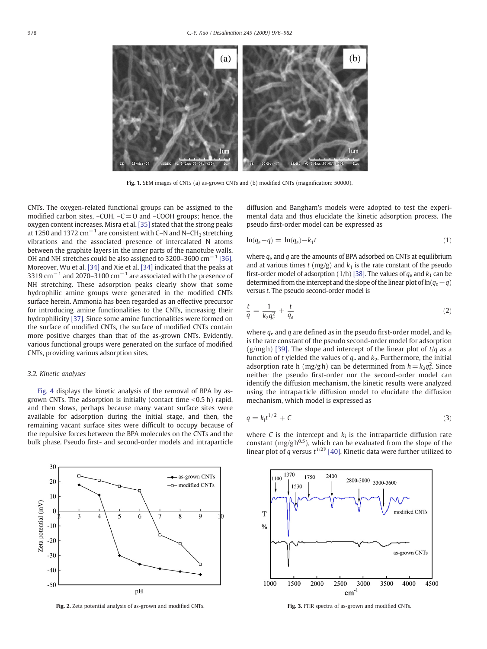<span id="page-2-0"></span>

Fig. 1. SEM images of CNTs (a) as-grown CNTs and (b) modified CNTs (magnification: 50000).

CNTs. The oxygen-related functional groups can be assigned to the modified carbon sites,  $-COH$ ,  $-C = O$  and  $-COOH$  groups; hence, the oxygen content increases. Misra et al. [\[35\]](#page-6-0) stated that the strong peaks at 1250 and 1372  $cm^{-1}$  are consistent with C–N and N–CH<sub>3</sub> stretching vibrations and the associated presence of intercalated N atoms between the graphite layers in the inner parts of the nanotube walls. OH and NH stretches could be also assigned to 3200–3600 cm−<sup>1</sup> [\[36\].](#page-6-0) Moreover, Wu et al. [\[34\]](#page-6-0) and Xie et al. [\[34\]](#page-6-0) indicated that the peaks at 3319 cm<sup> $-1$ </sup> and 2070–3100 cm<sup> $-1$ </sup> are associated with the presence of NH stretching. These adsorption peaks clearly show that some hydrophilic amine groups were generated in the modified CNTs surface herein. Ammonia has been regarded as an effective precursor for introducing amine functionalities to the CNTs, increasing their hydrophilicity [\[37\].](#page-6-0) Since some amine functionalities were formed on the surface of modified CNTs, the surface of modified CNTs contain more positive charges than that of the as-grown CNTs. Evidently, various functional groups were generated on the surface of modified CNTs, providing various adsorption sites.

#### 3.2. Kinetic analyses

[Fig. 4](#page-3-0) displays the kinetic analysis of the removal of BPA by asgrown CNTs. The adsorption is initially (contact time  $<$  0.5 h) rapid, and then slows, perhaps because many vacant surface sites were available for adsorption during the initial stage, and then, the remaining vacant surface sites were difficult to occupy because of the repulsive forces between the BPA molecules on the CNTs and the bulk phase. Pseudo first- and second-order models and intraparticle



Fig. 2. Zeta potential analysis of as-grown and modified CNTs. Fig. 3. FTIR spectra of as-grown and modified CNTs.

diffusion and Bangham's models were adopted to test the experimental data and thus elucidate the kinetic adsorption process. The pseudo first-order model can be expressed as

$$
\ln(q_e - q) = \ln(q_e) - k_1 t \tag{1}
$$

where  $q_e$  and  $q$  are the amounts of BPA adsorbed on CNTs at equilibrium and at various times  $t$  (mg/g) and  $k_1$  is the rate constant of the pseudo first-order model of adsorption (1/h) [\[38\]](#page-6-0). The values of  $q_e$  and  $k_1$  can be determined from the intercept and the slope of the linear plot of ln( $q_e-q$ ) versus t. The pseudo second-order model is

$$
\frac{t}{q} = \frac{1}{k_2 q_e^2} + \frac{t}{q_e} \tag{2}
$$

where  $q_e$  and q are defined as in the pseudo first-order model, and  $k_2$ is the rate constant of the pseudo second-order model for adsorption (g/mg h) [\[39\].](#page-6-0) The slope and intercept of the linear plot of  $t/q$  as a function of t yielded the values of  $q_e$  and  $k_2$ . Furthermore, the initial adsorption rate h (mg/gh) can be determined from  $h = k_2q_e^2$ . Since neither the pseudo first-order nor the second-order model can identify the diffusion mechanism, the kinetic results were analyzed using the intraparticle diffusion model to elucidate the diffusion mechanism, which model is expressed as

$$
q = k_i t^{1/2} + C \tag{3}
$$

where C is the intercept and  $k_i$  is the intraparticle diffusion rate constant ( $mg/g h^{0.5}$ ), which can be evaluated from the slope of the linear plot of q versus  $t^{1/2P}$  [\[40\]](#page-6-0). Kinetic data were further utilized to

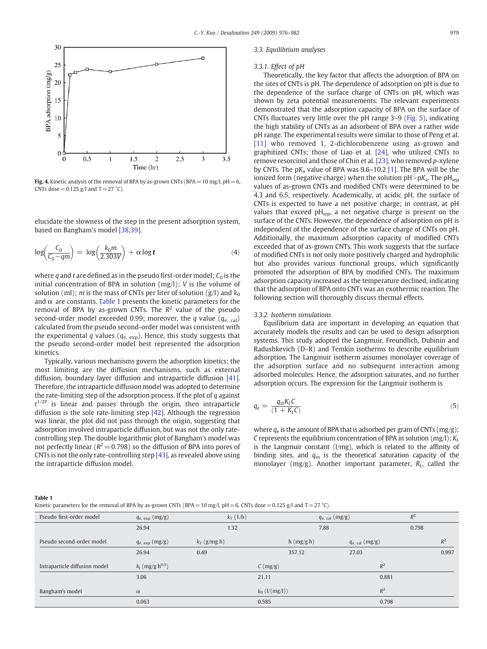<span id="page-3-0"></span>

Fig. 4. Kinetic analysis of the removal of BPA by as-grown CNTs (BPA =  $10 \text{ mg/l}$ , pH =  $6$ , CNTs dose =  $0.125$  g/l and T = 27 °C).

elucidate the slowness of the step in the present adsorption system, based on Bangham's model [\[38,39\].](#page-6-0)

$$
\log\left(\frac{C_0}{C_0 - qm}\right) = \log\left(\frac{k_0 m}{2.303 V}\right) + \alpha \log t \tag{4}
$$

where q and t are defined as in the pseudo first-order model;  $C_0$  is the initial concentration of BPA in solution (mg/l); V is the volume of solution (ml); m is the mass of CNTs per liter of solution (g/l) and  $k_0$ and  $\alpha$  are constants. Table 1 presents the kinetic parameters for the removal of BPA by as-grown CNTs. The  $R^2$  value of the pseudo second-order model exceeded 0.99; moreover, the q value ( $q_{e, cal}$ ) calculated from the pseudo second-order model was consistent with the experimental q values ( $q_{e, exp}$ ). Hence, this study suggests that the pseudo second-order model best represented the adsorption kinetics.

Typically, various mechanisms govern the adsorption kinetics; the most limiting are the diffusion mechanisms, such as external diffusion, boundary layer diffusion and intraparticle diffusion [\[41\].](#page-6-0) Therefore, the intraparticle diffusion model was adopted to determine the rate-limiting step of the adsorption process. If the plot of  $q$  against  $t^{1/2P}$  is linear and passes through the origin, then intraparticle diffusion is the sole rate-limiting step [\[42\]](#page-6-0). Although the regression was linear, the plot did not pass through the origin, suggesting that adsorption involved intraparticle diffusion, but was not the only ratecontrolling step. The double logarithmic plot of Bangham's model was not perfectly linear ( $R^2$  = 0.798) so the diffusion of BPA into pores of CNTs is not the only rate-controlling step [\[43\]](#page-6-0), as revealed above using the intraparticle diffusion model.

#### 3.3. Equilibrium analyses

#### 3.3.1. Effect of pH

Theoretically, the key factor that affects the adsorption of BPA on the sites of CNTs is pH. The dependence of adsorption on pH is due to the dependence of the surface charge of CNTs on pH, which was shown by zeta potential measurements. The relevant experiments demonstrated that the adsorption capacity of BPA on the surface of CNTs fluctuates very little over the pH range 3–9 ([Fig. 5](#page-4-0)), indicating the high stability of CNTs as an adsorbent of BPA over a rather wide pH range. The experimental results were similar to those of Peng et al. [\[11\]](#page-6-0) who removed 1, 2-dichlorobenzene using as-grown and graphitized CNTs; those of Liao et al. [\[24\],](#page-6-0) who utilized CNTs to remove resorcinol and those of Chin et al. [\[23\],](#page-6-0) who removed p-xylene by CNTs. The  $pK_a$  value of BPA was 9.6–10.2 [\[1\].](#page-6-0) The BPA will be the ionized form (negative charge) when the solution  $pH > pK_a$ . The  $pH_{\text{ien}}$ values of as-grown CNTs and modified CNTs were determined to be 4.3 and 6.5, respectively. Academically, at acidic pH, the surface of CNTs is expected to have a net positive charge; in contrast, at pH values that exceed pH<sub>iep</sub>, a net negative charge is present on the surface of the CNTs. However, the dependence of adsorption on pH is independent of the dependence of the surface charge of CNTs on pH. Additionally, the maximum adsorption capacity of modified CNTs exceeded that of as-grown CNTs. This work suggests that the surface of modified CNTs is not only more positively charged and hydrophilic but also provides various functional groups, which significantly promoted the adsorption of BPA by modified CNTs. The maximum adsorption capacity increased as the temperature declined, indicating that the adsorption of BPA onto CNTs was an exothermic reaction. The following section will thoroughly discuss thermal effects.

#### 3.3.2. Isotherm simulations

Equilibrium data are important in developing an equation that accurately models the results and can be used to design adsorption systems. This study adopted the Langmuir, Freundlich, Dubinin and Radushkevich (D–R) and Temkin isotherms to describe equilibrium adsorption. The Langmuir isotherm assumes monolayer coverage of the adsorption surface and no subsequent interaction among adsorbed molecules. Hence, the adsorption saturates, and no further adsorption occurs. The expression for the Langmuir isotherm is

$$
q_e = \frac{q_m K_L C}{(1 + K_L C)}\tag{5}
$$

where  $q_e$  is the amount of BPA that is adsorbed per gram of CNTs (mg/g); C represents the equilibrium concentration of BPA in solution (mg/l);  $K_L$ is the Langmuir constant (l/mg), which is related to the affinity of binding sites, and  $q_m$  is the theoretical saturation capacity of the monolayer (mg/g). Another important parameter,  $R_L$ , called the

Table 1

| Kinetic parameters for the removal of BPA by as-grown CNTs (BPA = 10 mg/l, pH = 6, CNTs dose = 0.125 g/l and T = 27 °C). |  |
|--------------------------------------------------------------------------------------------------------------------------|--|
|--------------------------------------------------------------------------------------------------------------------------|--|

| Pseudo first-order model      | $q_{\rm e, exp}$ (mg/g)        | $k_1$ (1/h)    |                                 | $q_{\rm e, cal}$ (mg/g) |       |       |
|-------------------------------|--------------------------------|----------------|---------------------------------|-------------------------|-------|-------|
|                               | 26.94                          | 1.32           | 7.88                            |                         | 0.798 |       |
| Pseudo second-order model     | $q_{\rm e, exp}$ (mg/g)        | $k_2$ (g/mg h) | $h$ (mg/g h)                    | $q_{\rm e, cal}$ (mg/g) |       | $R^2$ |
|                               | 26.94                          | 0.49           | 357.12                          | 27.03                   |       | 0.997 |
| Intraparticle diffusion model | $k_i$ (mg/g h <sup>0.5</sup> ) |                | $C \left( \frac{mg}{g} \right)$ | $R^2$                   |       |       |
|                               | 3.06                           |                | 21.11                           | 0.881                   |       |       |
| Bangham's model               | $\alpha$                       |                | $k_0$ ( $1/(mg/l)$ )            | $R^2$                   |       |       |
|                               | 0.063                          |                | 0.585                           | 0.798                   |       |       |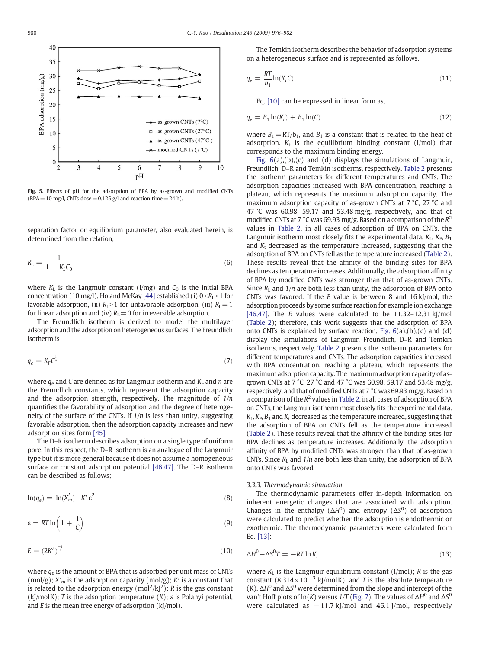<span id="page-4-0"></span>

Fig. 5. Effects of pH for the adsorption of BPA by as-grown and modified CNTs (BPA = 10 mg/l, CNTs dose = 0.125 g/l and reaction time = 24 h).

separation factor or equilibrium parameter, also evaluated herein, is determined from the relation,

$$
R_L = \frac{1}{1 + K_L C_0} \tag{6}
$$

where  $K<sub>L</sub>$  is the Langmuir constant (l/mg) and  $C<sub>0</sub>$  is the initial BPA concentration (10 mg/l). Ho and McKay [\[44\]](#page-6-0) established (i)  $0 < R<sub>I</sub> < 1$  for favorable adsorption, (ii)  $R_L>1$  for unfavorable adsorption, (iii)  $R_L=1$ for linear adsorption and (iv)  $R<sub>L</sub>=0$  for irreversible adsorption.

The Freundlich isotherm is derived to model the multilayer adsorption and the adsorption on heterogeneous surfaces. The Freundlich isotherm is

$$
q_e = K_F C^{\frac{1}{n}} \tag{7}
$$

where  $q_e$  and C are defined as for Langmuir isotherm and  $K_F$  and n are the Freundlich constants, which represent the adsorption capacity and the adsorption strength, respectively. The magnitude of  $1/n$ quantifies the favorability of adsorption and the degree of heterogeneity of the surface of the CNTs. If  $1/n$  is less than unity, suggesting favorable adsorption, then the adsorption capacity increases and new adsorption sites form [\[45\].](#page-6-0)

The D–R isotherm describes adsorption on a single type of uniform pore. In this respect, the D–R isotherm is an analogue of the Langmuir type but it is more general because it does not assume a homogeneous surface or constant adsorption potential [\[46,47\]](#page-6-0). The D–R isotherm can be described as follows;

$$
\ln(q_e) = \ln(X'_m) - K' \varepsilon^2 \tag{8}
$$

$$
\varepsilon = RT \ln \left( 1 + \frac{1}{C} \right) \tag{9}
$$

$$
E = \left(2K'\right)^{\frac{-1}{2}}\tag{10}
$$

where  $q_e$  is the amount of BPA that is adsorbed per unit mass of CNTs (mol/g);  $X'_m$  is the adsorption capacity (mol/g);  $K'$  is a constant that is related to the adsorption energy (mol<sup>2</sup>/kJ<sup>2</sup>); R is the gas constant  $(k)/m$ olK); T is the adsorption temperature  $(K)$ ;  $\varepsilon$  is Polanyi potential, and  $E$  is the mean free energy of adsorption ( $k$ [/mol).

The Temkin isotherm describes the behavior of adsorption systems on a heterogeneous surface and is represented as follows.

$$
q_e = \frac{RT}{b_1} \ln(K_t C) \tag{11}
$$

Eq. [\[10\]](#page-6-0) can be expressed in linear form as,

$$
q_e = B_1 \ln(K_t) + B_1 \ln(C) \tag{12}
$$

where  $B_1=R\Gamma/b_1$ , and  $B_1$  is a constant that is related to the heat of adsorption.  $K_t$  is the equilibrium binding constant (l/mol) that corresponds to the maximum binding energy.

Fig.  $6(a)$ , $(b)$ , $(c)$  and  $(d)$  displays the simulations of Langmuir, Freundlich, D–R and Temkin isotherms, respectively. [Table 2](#page-5-0) presents the isotherm parameters for different temperatures and CNTs. The adsorption capacities increased with BPA concentration, reaching a plateau, which represents the maximum adsorption capacity. The maximum adsorption capacity of as-grown CNTs at 7 °C, 27 °C and 47 °C was 60.98, 59.17 and 53.48 mg/g, respectively, and that of modified CNTs at 7 °C was 69.93 mg/g. Based on a comparison of the  $R^2$ values in [Table 2,](#page-5-0) in all cases of adsorption of BPA on CNTs, the Langmuir isotherm most closely fits the experimental data.  $K_I$ ,  $K_F$ ,  $B_1$ and  $K_t$  decreased as the temperature increased, suggesting that the adsorption of BPA on CNTs fell as the temperature increased ([Table 2](#page-5-0)). These results reveal that the affinity of the binding sites for BPA declines as temperature increases. Additionally, the adsorption affinity of BPA by modified CNTs was stronger than that of as-grown CNTs. Since  $R_L$  and  $1/n$  are both less than unity, the adsorption of BPA onto CNTs was favored. If the  $E$  value is between 8 and 16 kJ/mol, the adsorption proceeds by some surface reaction for example ion exchange [\[46,47\].](#page-6-0) The E values were calculated to be  $11.32-12.31$  kJ/mol [\(Table 2](#page-5-0)); therefore, this work suggests that the adsorption of BPA onto CNTs is explained by surface reaction. Fig.  $6(a)$ , $(b)$ , $(c)$  and  $(d)$ display the simulations of Langmuir, Freundlich, D–R and Temkin isotherms, respectively. [Table 2](#page-5-0) presents the isotherm parameters for different temperatures and CNTs. The adsorption capacities increased with BPA concentration, reaching a plateau, which represents the maximum adsorption capacity. The maximum adsorption capacity of asgrown CNTs at 7 °C, 27 °C and 47 °C was 60.98, 59.17 and 53.48 mg/g, respectively, and that of modified CNTs at 7 °C was 69.93 mg/g. Based on a comparison of the  $R^2$  values in [Table 2,](#page-5-0) in all cases of adsorption of BPA on CNTs, the Langmuir isotherm most closely fits the experimental data.  $K_L, K_F, B_1$  and  $K_t$  decreased as the temperature increased, suggesting that the adsorption of BPA on CNTs fell as the temperature increased [\(Table 2](#page-5-0)). These results reveal that the affinity of the binding sites for BPA declines as temperature increases. Additionally, the adsorption affinity of BPA by modified CNTs was stronger than that of as-grown CNTs. Since  $R_L$  and  $1/n$  are both less than unity, the adsorption of BPA onto CNTs was favored.

#### 3.3.3. Thermodynamic simulation

The thermodynamic parameters offer in-depth information on inherent energetic changes that are associated with adsorption. Changes in the enthalpy  $(\Delta H^0)$  and entropy  $(\Delta S^0)$  of adsorption were calculated to predict whether the adsorption is endothermic or exothermic. The thermodynamic parameters were calculated from Eq. [\[13\]:](#page-6-0)

$$
\Delta H^0 - \Delta S^0 T = -RT \ln K_L \tag{13}
$$

where  $K_L$  is the Langmuir equilibrium constant (l/mol); R is the gas constant (8.314×10<sup>-3</sup> kJ/molK), and T is the absolute temperature (K).  $\Delta H^0$  and  $\Delta S^0$  were determined from the slope and intercept of the van't Hoff plots of  $ln(K)$  versus 1/T ([Fig. 7\)](#page-5-0). The values of  $\Delta H^0$  and  $\Delta S^0$ were calculated as  $-11.7$  kJ/mol and 46.1 J/mol, respectively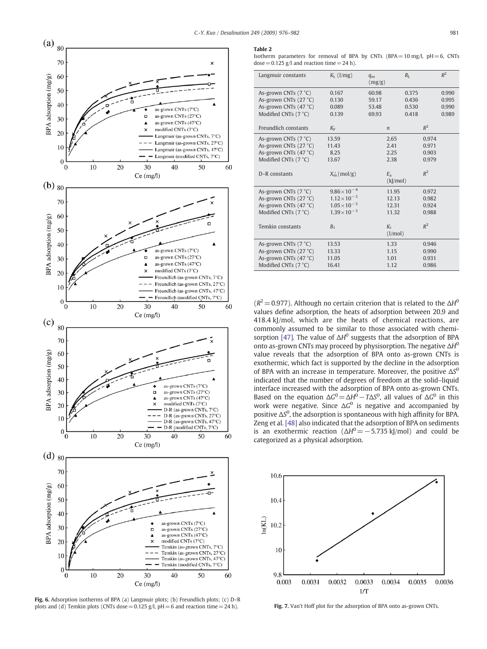<span id="page-5-0"></span>

Fig. 6. Adsorption isotherms of BPA (a) Langmuir plots; (b) Freundlich plots; (c) D–R plots and (d) Temkin plots (CNTs dose = 0.125 g/l, pH = 6 and reaction time = 24 h). Fig. 7. Van't Hoff plot for the adsorption of BPA onto as-grown CNTs.

#### Table 2

Isotherm parameters for removal of BPA by CNTs (BPA =  $10 \text{ mg/l}$ , pH =  $6$ , CNTs  $dose = 0.125$  g/l and reaction time = 24 h).

| Langmuir constants     | $K_{\text{L}}$ (1/mg) | $q_{\rm m}$<br>(mg/g) | $R_{I}$ |       | $R^2$ |
|------------------------|-----------------------|-----------------------|---------|-------|-------|
| As-grown CNTs (7 °C)   | 0.167                 | 60.98                 | 0.375   |       | 0.990 |
| As-grown CNTs (27 °C)  | 0.130                 | 59.17                 | 0.436   |       | 0.995 |
| As-grown CNTs (47 °C)  | 0.089                 | 53.48                 | 0.530   |       | 0.990 |
| Modified CNTs (7 °C)   | 0.139                 | 69.93                 | 0.418   |       | 0.989 |
|                        |                       |                       |         |       |       |
| Freundlich constants   | $K_{\rm F}$           | $\boldsymbol{n}$      |         | $R^2$ |       |
| As-grown CNTs (7 °C)   | 13.59                 | 2.65                  |         | 0.974 |       |
| As-grown CNTs (27 °C)  | 11.43                 | 2.41                  |         | 0.971 |       |
| As-grown CNTs (47 °C)  | 8.25                  | 2.25                  |         | 0.903 |       |
| Modified CNTs $(7 °C)$ | 13.67                 | 2.38                  |         | 0.979 |       |
|                        |                       |                       |         |       |       |
| D-R constants          | $X_{m}$ (mol/g)       | $E_{\rm a}$           |         | $R^2$ |       |
|                        |                       | (kJ/mol)              |         |       |       |
| As-grown CNTs (7 °C)   | $9.86 \times 10^{-4}$ | 11.95                 |         | 0.972 |       |
| As-grown CNTs (27 °C)  | $1.12 \times 10^{-3}$ |                       | 12.13   |       |       |
| As-grown CNTs (47 °C)  | $1.05 \times 10^{-3}$ | 12.31                 |         | 0.924 |       |
| Modified CNTs $(7 °C)$ | $1.39 \times 10^{-3}$ |                       | 11.32   |       |       |
|                        |                       |                       |         |       |       |
| Temkin constants       | B <sub>1</sub>        | $K_{\rm t}$           |         | $R^2$ |       |
|                        |                       | (l/mol)               |         |       |       |
| As-grown CNTs (7 °C)   | 13.53                 | 1.33                  |         | 0.946 |       |
| As-grown CNTs (27 °C)  | 13.33                 | 1.15                  |         | 0.990 |       |
| As-grown CNTs (47 °C)  | 11.05                 | 1.01                  |         | 0.931 |       |
| Modified CNTs (7 °C)   | 16.41                 | 1.12                  |         | 0.986 |       |

 $(R^2 = 0.977)$ . Although no certain criterion that is related to the  $\Delta H^0$ values define adsorption, the heats of adsorption between 20.9 and 418.4 kJ/mol, which are the heats of chemical reactions, are commonly assumed to be similar to those associated with chemi-sorption [\[47\]](#page-6-0). The value of  $\Delta H^0$  suggests that the adsorption of BPA onto as-grown CNTs may proceed by physisorption. The negative  $\Delta H^0$ value reveals that the adsorption of BPA onto as-grown CNTs is exothermic, which fact is supported by the decline in the adsorption of BPA with an increase in temperature. Moreover, the positive  $\Delta S^0$ indicated that the number of degrees of freedom at the solid–liquid interface increased with the adsorption of BPA onto as-grown CNTs. Based on the equation  $\Delta G^0 = \Delta H^0 - T \Delta S^0$ , all values of  $\Delta G^0$  in this work were negative. Since  $\Delta G^0$  is negative and accompanied by positive  $\Delta S^0$ , the adsorption is spontaneous with high affinity for BPA. Zeng et al. [\[48\]](#page-6-0) also indicated that the adsorption of BPA on sediments is an exothermic reaction ( $\Delta H^0$  = −5.735 kJ/mol) and could be categorized as a physical adsorption.